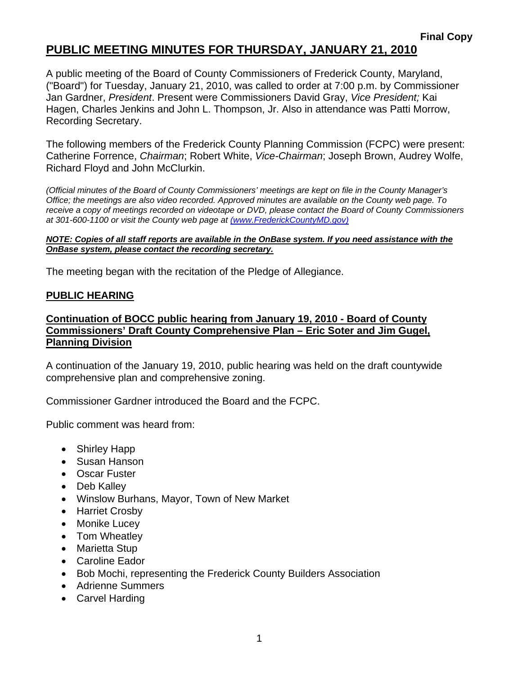# **PUBLIC MEETING MINUTES FOR THURSDAY, JANUARY 21, 2010**

A public meeting of the Board of County Commissioners of Frederick County, Maryland, ("Board") for Tuesday, January 21, 2010, was called to order at 7:00 p.m. by Commissioner Jan Gardner, *President*. Present were Commissioners David Gray, *Vice President;* Kai Hagen, Charles Jenkins and John L. Thompson, Jr. Also in attendance was Patti Morrow, Recording Secretary.

The following members of the Frederick County Planning Commission (FCPC) were present: Catherine Forrence, *Chairman*; Robert White, *Vice-Chairman*; Joseph Brown, Audrey Wolfe, Richard Floyd and John McClurkin.

*(Official minutes of the Board of County Commissioners' meetings are kept on file in the County Manager's Office; the meetings are also video recorded. Approved minutes are available on the County web page. To receive a copy of meetings recorded on videotape or DVD, please contact the Board of County Commissioners at 301-600-1100 or visit the County web page at (www.FrederickCountyMD.gov)*

#### *NOTE: Copies of all staff reports are available in the OnBase system. If you need assistance with the OnBase system, please contact the recording secretary.*

The meeting began with the recitation of the Pledge of Allegiance.

#### **PUBLIC HEARING**

### **Continuation of BOCC public hearing from January 19, 2010 - Board of County Commissioners' Draft County Comprehensive Plan – Eric Soter and Jim Gugel, Planning Division**

A continuation of the January 19, 2010, public hearing was held on the draft countywide comprehensive plan and comprehensive zoning.

Commissioner Gardner introduced the Board and the FCPC.

Public comment was heard from:

- Shirley Happ
- Susan Hanson
- Oscar Fuster
- Deb Kalley
- Winslow Burhans, Mayor, Town of New Market
- Harriet Crosby
- Monike Lucey
- Tom Wheatley
- Marietta Stup
- Caroline Eador
- Bob Mochi, representing the Frederick County Builders Association
- Adrienne Summers
- Carvel Harding